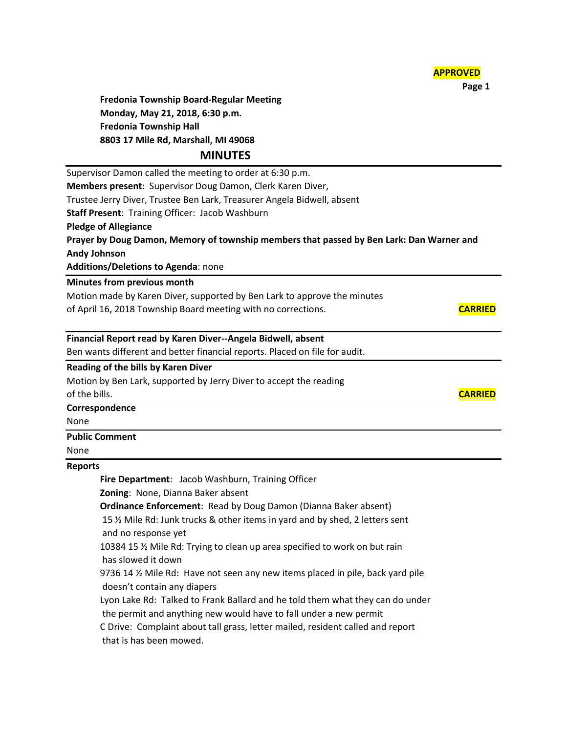| <b>APPROVED</b> |
|-----------------|
|-----------------|

 **Page 1**

**Fredonia Township Board-Regular Meeting Monday, May 21, 2018, 6:30 p.m. Fredonia Township Hall 8803 17 Mile Rd, Marshall, MI 49068**

# **MINUTES**

Supervisor Damon called the meeting to order at 6:30 p.m. **Members present**: Supervisor Doug Damon, Clerk Karen Diver, Trustee Jerry Diver, Trustee Ben Lark, Treasurer Angela Bidwell, absent **Staff Present**: Training Officer: Jacob Washburn **Pledge of Allegiance Prayer by Doug Damon, Memory of township members that passed by Ben Lark: Dan Warner and Andy Johnson Additions/Deletions to Agenda**: none

## **Minutes from previous month**

Motion made by Karen Diver, supported by Ben Lark to approve the minutes of April 16, 2018 Township Board meeting with no corrections. **CARRIED**

### **Financial Report read by Karen Diver--Angela Bidwell, absent**

Ben wants different and better financial reports. Placed on file for audit.

### **Reading of the bills by Karen Diver**

Motion by Ben Lark, supported by Jerry Diver to accept the reading of the bills. **CARRIED**

#### **Correspondence**

None

#### **Public Comment**

None

#### **Reports**

**Fire Department**: Jacob Washburn, Training Officer **Zoning**: None, Dianna Baker absent **Ordinance Enforcement**: Read by Doug Damon (Dianna Baker absent) 15 ½ Mile Rd: Junk trucks & other items in yard and by shed, 2 letters sent and no response yet 10384 15 ½ Mile Rd: Trying to clean up area specified to work on but rain has slowed it down 9736 14 ½ Mile Rd: Have not seen any new items placed in pile, back yard pile doesn't contain any diapers Lyon Lake Rd: Talked to Frank Ballard and he told them what they can do under the permit and anything new would have to fall under a new permit

C Drive: Complaint about tall grass, letter mailed, resident called and report that is has been mowed.